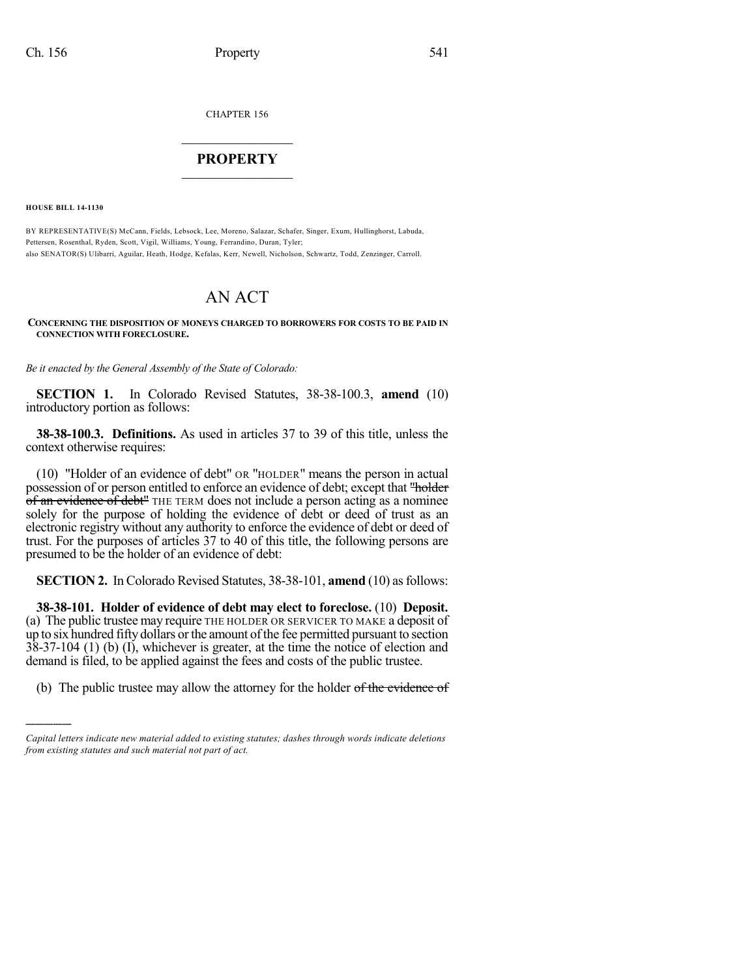CHAPTER 156

## $\mathcal{L}_\text{max}$  . The set of the set of the set of the set of the set of the set of the set of the set of the set of the set of the set of the set of the set of the set of the set of the set of the set of the set of the set **PROPERTY**  $\_$   $\_$   $\_$   $\_$   $\_$   $\_$   $\_$   $\_$   $\_$

**HOUSE BILL 14-1130**

)))))

BY REPRESENTATIVE(S) McCann, Fields, Lebsock, Lee, Moreno, Salazar, Schafer, Singer, Exum, Hullinghorst, Labuda, Pettersen, Rosenthal, Ryden, Scott, Vigil, Williams, Young, Ferrandino, Duran, Tyler; also SENATOR(S) Ulibarri, Aguilar, Heath, Hodge, Kefalas, Kerr, Newell, Nicholson, Schwartz, Todd, Zenzinger, Carroll.

# AN ACT

### **CONCERNING THE DISPOSITION OF MONEYS CHARGED TO BORROWERS FOR COSTS TO BE PAID IN CONNECTION WITH FORECLOSURE.**

*Be it enacted by the General Assembly of the State of Colorado:*

**SECTION 1.** In Colorado Revised Statutes, 38-38-100.3, **amend** (10) introductory portion as follows:

**38-38-100.3. Definitions.** As used in articles 37 to 39 of this title, unless the context otherwise requires:

(10) "Holder of an evidence of debt" OR "HOLDER" means the person in actual possession of or person entitled to enforce an evidence of debt; except that "holder of an evidence of debt<sup>"</sup> THE TERM does not include a person acting as a nominee solely for the purpose of holding the evidence of debt or deed of trust as an electronic registry without any authority to enforce the evidence of debt or deed of trust. For the purposes of articles 37 to 40 of this title, the following persons are presumed to be the holder of an evidence of debt:

**SECTION 2.** In Colorado Revised Statutes, 38-38-101, **amend** (10) as follows:

**38-38-101. Holder of evidence of debt may elect to foreclose.** (10) **Deposit.** (a) The public trustee may require THE HOLDER OR SERVICER TO MAKE a deposit of up to six hundred fifty dollars or the amount of the fee permitted pursuant to section 38-37-104 (1) (b) (I), whichever is greater, at the time the notice of election and demand is filed, to be applied against the fees and costs of the public trustee.

(b) The public trustee may allow the attorney for the holder of the evidence of

*Capital letters indicate new material added to existing statutes; dashes through words indicate deletions from existing statutes and such material not part of act.*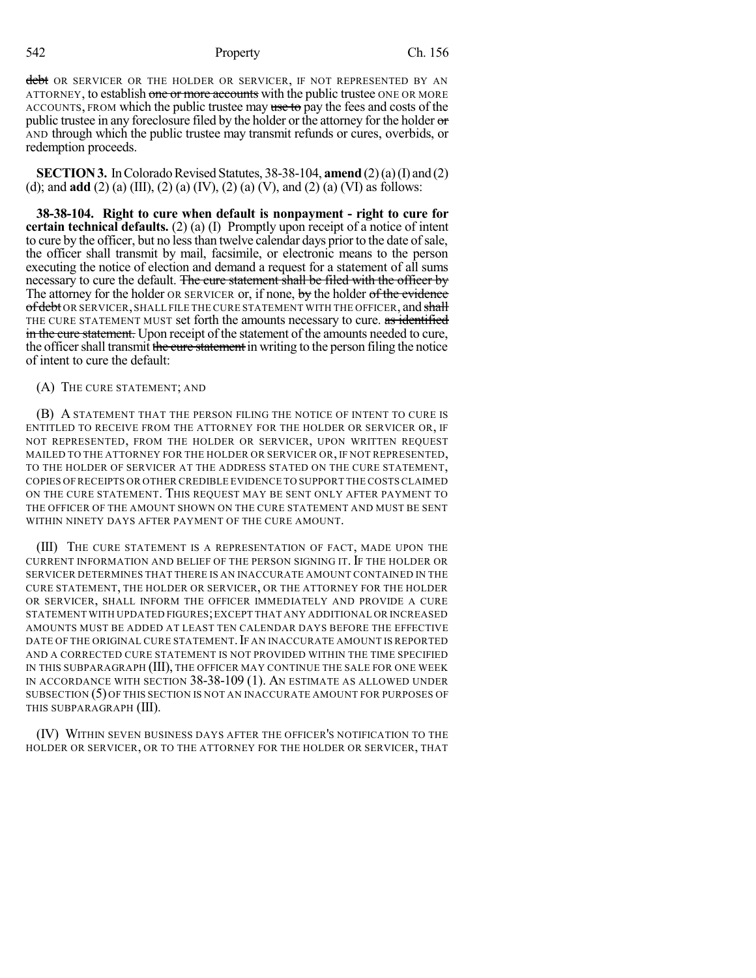542 Property Ch. 156

debt OR SERVICER OR THE HOLDER OR SERVICER, IF NOT REPRESENTED BY AN ATTORNEY, to establish one or more accounts with the public trustee ONE OR MORE ACCOUNTS, FROM which the public trustee may use to pay the fees and costs of the public trustee in any foreclosure filed by the holder or the attorney for the holder  $\sigma$ AND through which the public trustee may transmit refunds or cures, overbids, or redemption proceeds.

**SECTION 3.** In Colorado Revised Statutes, 38-38-104, **amend** (2)(a)(I) and (2) (d); and **add** (2) (a) (III), (2) (a) (IV), (2) (a) (V), and (2) (a) (VI) as follows:

**38-38-104. Right to cure when default is nonpayment - right to cure for certain technical defaults.** (2) (a) (I) Promptly upon receipt of a notice of intent to cure by the officer, but no lessthan twelve calendar days prior to the date ofsale, the officer shall transmit by mail, facsimile, or electronic means to the person executing the notice of election and demand a request for a statement of all sums necessary to cure the default. The cure statement shall be filed with the officer by The attorney for the holder OR SERVICER or, if none, by the holder of the evidence of debt OR SERVICER, SHALL FILE THE CURE STATEMENT WITH THE OFFICER, and shall THE CURE STATEMENT MUST set forth the amounts necessary to cure. as identified in the cure statement. Upon receipt of the statement of the amounts needed to cure, the officer shall transmit the cure statement in writing to the person filing the notice of intent to cure the default:

(A) THE CURE STATEMENT; AND

(B) A STATEMENT THAT THE PERSON FILING THE NOTICE OF INTENT TO CURE IS ENTITLED TO RECEIVE FROM THE ATTORNEY FOR THE HOLDER OR SERVICER OR, IF NOT REPRESENTED, FROM THE HOLDER OR SERVICER, UPON WRITTEN REQUEST MAILED TO THE ATTORNEY FOR THE HOLDER OR SERVICER OR, IF NOT REPRESENTED, TO THE HOLDER OF SERVICER AT THE ADDRESS STATED ON THE CURE STATEMENT, COPIES OF RECEIPTS OR OTHER CREDIBLE EVIDENCE TO SUPPORT THE COSTS CLAIMED ON THE CURE STATEMENT. THIS REQUEST MAY BE SENT ONLY AFTER PAYMENT TO THE OFFICER OF THE AMOUNT SHOWN ON THE CURE STATEMENT AND MUST BE SENT WITHIN NINETY DAYS AFTER PAYMENT OF THE CURE AMOUNT.

(III) THE CURE STATEMENT IS A REPRESENTATION OF FACT, MADE UPON THE CURRENT INFORMATION AND BELIEF OF THE PERSON SIGNING IT. IF THE HOLDER OR SERVICER DETERMINES THAT THERE IS AN INACCURATE AMOUNT CONTAINED IN THE CURE STATEMENT, THE HOLDER OR SERVICER, OR THE ATTORNEY FOR THE HOLDER OR SERVICER, SHALL INFORM THE OFFICER IMMEDIATELY AND PROVIDE A CURE STATEMENT WITH UPDATED FIGURES;EXCEPT THAT ANY ADDITIONAL OR INCREASED AMOUNTS MUST BE ADDED AT LEAST TEN CALENDAR DAYS BEFORE THE EFFECTIVE DATE OF THE ORIGINAL CURE STATEMENT. IF AN INACCURATE AMOUNT IS REPORTED AND A CORRECTED CURE STATEMENT IS NOT PROVIDED WITHIN THE TIME SPECIFIED IN THIS SUBPARAGRAPH (III), THE OFFICER MAY CONTINUE THE SALE FOR ONE WEEK IN ACCORDANCE WITH SECTION 38-38-109 (1). AN ESTIMATE AS ALLOWED UNDER SUBSECTION (5) OF THIS SECTION IS NOT AN INACCURATE AMOUNT FOR PURPOSES OF THIS SUBPARAGRAPH (III).

(IV) WITHIN SEVEN BUSINESS DAYS AFTER THE OFFICER'S NOTIFICATION TO THE HOLDER OR SERVICER, OR TO THE ATTORNEY FOR THE HOLDER OR SERVICER, THAT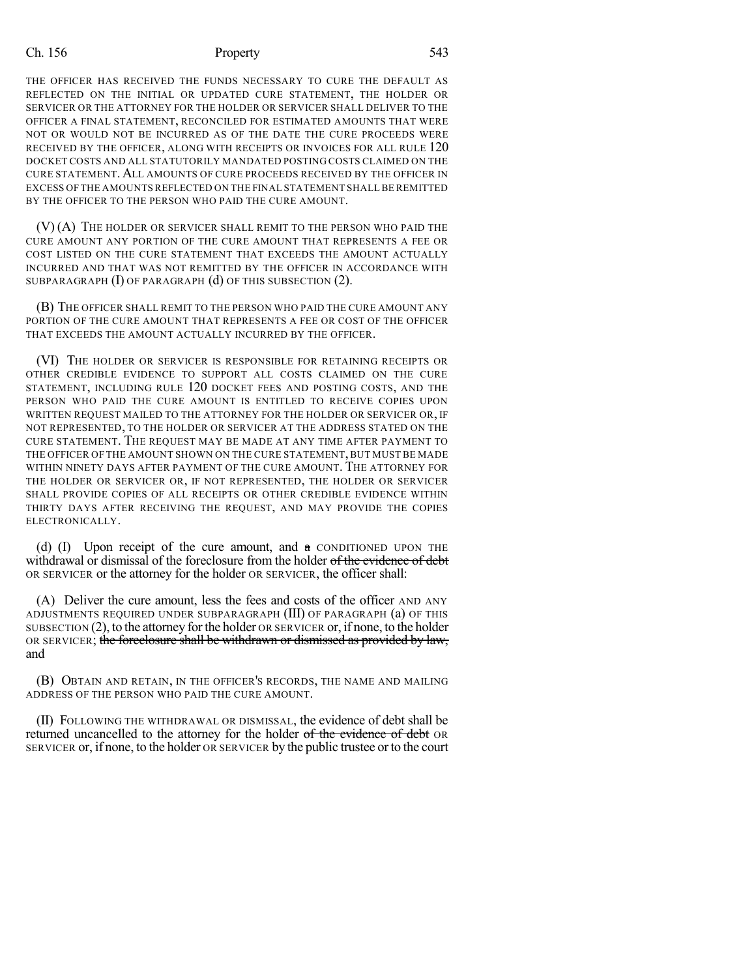## Ch. 156 Property 543

THE OFFICER HAS RECEIVED THE FUNDS NECESSARY TO CURE THE DEFAULT AS REFLECTED ON THE INITIAL OR UPDATED CURE STATEMENT, THE HOLDER OR SERVICER OR THE ATTORNEY FOR THE HOLDER OR SERVICER SHALL DELIVER TO THE OFFICER A FINAL STATEMENT, RECONCILED FOR ESTIMATED AMOUNTS THAT WERE NOT OR WOULD NOT BE INCURRED AS OF THE DATE THE CURE PROCEEDS WERE RECEIVED BY THE OFFICER, ALONG WITH RECEIPTS OR INVOICES FOR ALL RULE 120 DOCKET COSTS AND ALL STATUTORILY MANDATED POSTING COSTS CLAIMED ON THE CURE STATEMENT. ALL AMOUNTS OF CURE PROCEEDS RECEIVED BY THE OFFICER IN EXCESS OF THE AMOUNTS REFLECTED ON THE FINAL STATEMENT SHALL BE REMITTED BY THE OFFICER TO THE PERSON WHO PAID THE CURE AMOUNT.

(V) (A) THE HOLDER OR SERVICER SHALL REMIT TO THE PERSON WHO PAID THE CURE AMOUNT ANY PORTION OF THE CURE AMOUNT THAT REPRESENTS A FEE OR COST LISTED ON THE CURE STATEMENT THAT EXCEEDS THE AMOUNT ACTUALLY INCURRED AND THAT WAS NOT REMITTED BY THE OFFICER IN ACCORDANCE WITH SUBPARAGRAPH (I) OF PARAGRAPH (d) OF THIS SUBSECTION (2).

(B) THE OFFICER SHALL REMIT TO THE PERSON WHO PAID THE CURE AMOUNT ANY PORTION OF THE CURE AMOUNT THAT REPRESENTS A FEE OR COST OF THE OFFICER THAT EXCEEDS THE AMOUNT ACTUALLY INCURRED BY THE OFFICER.

(VI) THE HOLDER OR SERVICER IS RESPONSIBLE FOR RETAINING RECEIPTS OR OTHER CREDIBLE EVIDENCE TO SUPPORT ALL COSTS CLAIMED ON THE CURE STATEMENT, INCLUDING RULE 120 DOCKET FEES AND POSTING COSTS, AND THE PERSON WHO PAID THE CURE AMOUNT IS ENTITLED TO RECEIVE COPIES UPON WRITTEN REQUEST MAILED TO THE ATTORNEY FOR THE HOLDER OR SERVICER OR, IF NOT REPRESENTED, TO THE HOLDER OR SERVICER AT THE ADDRESS STATED ON THE CURE STATEMENT. THE REQUEST MAY BE MADE AT ANY TIME AFTER PAYMENT TO THE OFFICER OF THE AMOUNT SHOWN ON THE CURE STATEMENT, BUT MUST BE MADE WITHIN NINETY DAYS AFTER PAYMENT OF THE CURE AMOUNT. THE ATTORNEY FOR THE HOLDER OR SERVICER OR, IF NOT REPRESENTED, THE HOLDER OR SERVICER SHALL PROVIDE COPIES OF ALL RECEIPTS OR OTHER CREDIBLE EVIDENCE WITHIN THIRTY DAYS AFTER RECEIVING THE REQUEST, AND MAY PROVIDE THE COPIES ELECTRONICALLY.

(d) (I) Upon receipt of the cure amount, and  $\alpha$  conditioned upon the withdrawal or dismissal of the foreclosure from the holder of the evidence of debt OR SERVICER or the attorney for the holder OR SERVICER, the officer shall:

(A) Deliver the cure amount, less the fees and costs of the officer AND ANY ADJUSTMENTS REQUIRED UNDER SUBPARAGRAPH (III) OF PARAGRAPH (a) OF THIS  $SUBSECTION (2)$ , to the attorney for the holder OR SERVICER or, if none, to the holder OR SERVICER; the foreclosure shall be withdrawn or dismissed as provided by law, and

(B) OBTAIN AND RETAIN, IN THE OFFICER'S RECORDS, THE NAME AND MAILING ADDRESS OF THE PERSON WHO PAID THE CURE AMOUNT.

(II) FOLLOWING THE WITHDRAWAL OR DISMISSAL, the evidence of debt shall be returned uncancelled to the attorney for the holder of the evidence of debt OR SERVICER or, if none, to the holder OR SERVICER by the public trustee orto the court